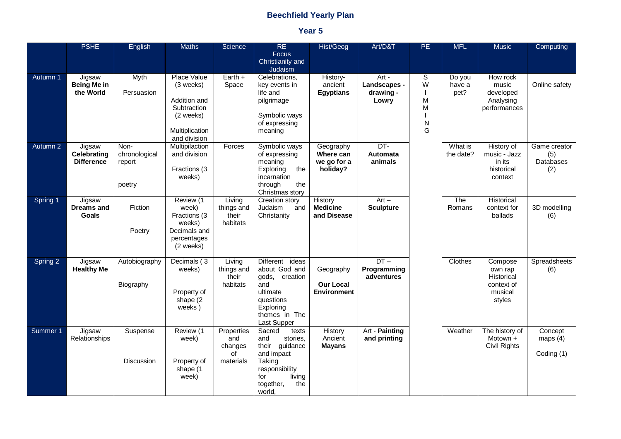## **Beechfield Yearly Plan**

## **Year 5**

|          | <b>PSHE</b>                                 | <b>English</b>                            | <b>Maths</b>                                                                                           | Science                                         | <b>RE</b><br>Focus<br>Christianity and<br>Judaism                                                                                             | Hist/Geog                                           | Art/D&T                                     | <b>PE</b>                  | <b>MFL</b>               | <b>Music</b>                                                         | Computing                               |
|----------|---------------------------------------------|-------------------------------------------|--------------------------------------------------------------------------------------------------------|-------------------------------------------------|-----------------------------------------------------------------------------------------------------------------------------------------------|-----------------------------------------------------|---------------------------------------------|----------------------------|--------------------------|----------------------------------------------------------------------|-----------------------------------------|
| Autumn 1 | Jigsaw<br><b>Being Me in</b><br>the World   | <b>Myth</b><br>Persuasion                 | Place Value<br>(3 weeks)<br>Addition and<br>Subtraction<br>(2 weeks)<br>Multiplication<br>and division | Earth +<br>Space                                | Celebrations,<br>key events in<br>life and<br>pilgrimage<br>Symbolic ways<br>of expressing<br>meaning                                         | History-<br>ancient<br><b>Egyptians</b>             | Art -<br>Landscapes -<br>drawing -<br>Lowry | S<br>W<br>M<br>M<br>N<br>G | Do you<br>have a<br>pet? | How rock<br>music<br>developed<br>Analysing<br>performances          | Online safety                           |
| Autumn 2 | Jigsaw<br>Celebrating<br><b>Difference</b>  | Non-<br>chronological<br>report<br>poetry | Multipilaction<br>and division<br>Fractions (3<br>weeks)                                               | Forces                                          | Symbolic ways<br>of expressing<br>meaning<br>Exploring<br>the<br>incarnation<br>through<br>the<br>Christmas story                             | Geography<br>Where can<br>we go for a<br>holiday?   | DT-<br>Automata<br>animals                  |                            | What is<br>the date?     | <b>History of</b><br>music - Jazz<br>in its<br>historical<br>context | Game creator<br>(5)<br>Databases<br>(2) |
| Spring 1 | Jigsaw<br><b>Dreams and</b><br><b>Goals</b> | Fiction<br>Poetry                         | Review (1<br>week)<br>Fractions (3<br>weeks)<br>Decimals and<br>percentages<br>(2 weeks)               | Living<br>things and<br>their<br>habitats       | Creation story<br>Judaism<br>and<br>Christanity                                                                                               | History<br><b>Medicine</b><br>and Disease           | $Art -$<br><b>Sculpture</b>                 |                            | The<br>Romans            | Historical<br>context for<br>ballads                                 | 3D modelling<br>(6)                     |
| Spring 2 | Jigsaw<br><b>Healthy Me</b>                 | Autobiography<br>Biography                | Decimals (3<br>weeks)<br>Property of<br>shape (2<br>weeks)                                             | Living<br>things and<br>their<br>habitats       | Different ideas<br>about God and<br>gods, creation<br>and<br>ultimate<br>questions<br>Exploring<br>themes in The<br>Last Supper               | Geography<br><b>Our Local</b><br><b>Environment</b> | $DT -$<br>Programming<br>adventures         |                            | <b>Clothes</b>           | Compose<br>own rap<br>Historical<br>context of<br>musical<br>styles  | Spreadsheets<br>(6)                     |
| Summer 1 | Jigsaw<br>Relationships                     | Suspense<br><b>Discussion</b>             | Review (1<br>week)<br>Property of<br>shape (1<br>week)                                                 | Properties<br>and<br>changes<br>of<br>materials | Sacred<br>texts<br>and<br>stories.<br>their guidance<br>and impact<br>Taking<br>responsibility<br>living<br>for<br>the<br>together,<br>world, | History<br>Ancient<br><b>Mayans</b>                 | Art - Painting<br>and printing              |                            | Weather                  | The history of<br>Motown $+$<br>Civil Rights                         | Concept<br>maps $(4)$<br>Coding (1)     |